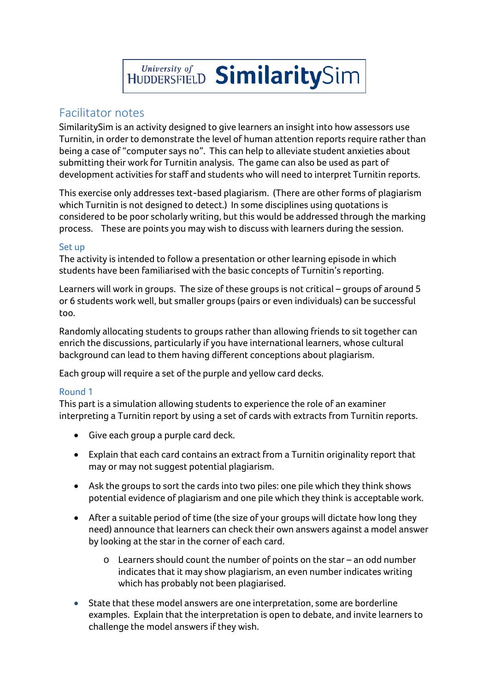# HUDDERSFIELD SimilaritySim

# Facilitator notes

SimilaritySim is an activity designed to give learners an insight into how assessors use Turnitin, in order to demonstrate the level of human attention reports require rather than being a case of "computer says no". This can help to alleviate student anxieties about submitting their work for Turnitin analysis. The game can also be used as part of development activities for staff and students who will need to interpret Turnitin reports.

This exercise only addresses text-based plagiarism. (There are other forms of plagiarism which Turnitin is not designed to detect.) In some disciplines using quotations is considered to be poor scholarly writing, but this would be addressed through the marking process. These are points you may wish to discuss with learners during the session.

### Set up

The activity is intended to follow a presentation or other learning episode in which students have been familiarised with the basic concepts of Turnitin's reporting.

Learners will work in groups. The size of these groups is not critical – groups of around 5 or 6 students work well, but smaller groups (pairs or even individuals) can be successful too.

Randomly allocating students to groups rather than allowing friends to sit together can enrich the discussions, particularly if you have international learners, whose cultural background can lead to them having different conceptions about plagiarism.

Each group will require a set of the purple and yellow card decks.

# Round 1

This part is a simulation allowing students to experience the role of an examiner interpreting a Turnitin report by using a set of cards with extracts from Turnitin reports.

- Give each group a purple card deck.
- Explain that each card contains an extract from a Turnitin originality report that may or may not suggest potential plagiarism.
- Ask the groups to sort the cards into two piles: one pile which they think shows potential evidence of plagiarism and one pile which they think is acceptable work.
- After a suitable period of time (the size of your groups will dictate how long they need) announce that learners can check their own answers against a model answer by looking at the star in the corner of each card.
	- o Learners should count the number of points on the star an odd number indicates that it may show plagiarism, an even number indicates writing which has probably not been plagiarised.
- State that these model answers are one interpretation, some are borderline examples. Explain that the interpretation is open to debate, and invite learners to challenge the model answers if they wish.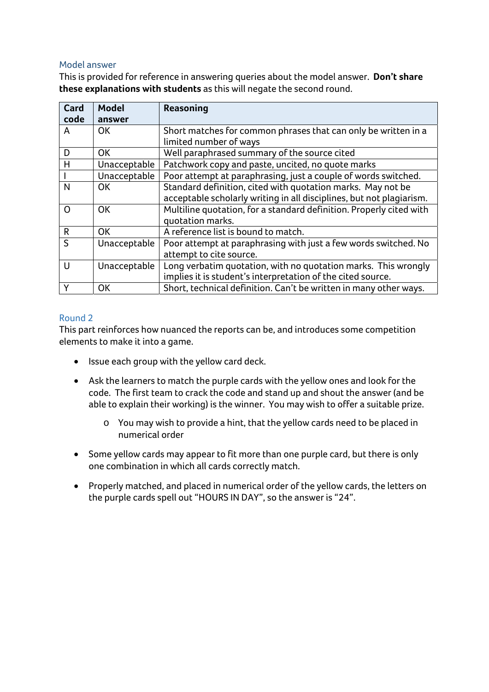#### Model answer

This is provided for reference in answering queries about the model answer. **Don't share these explanations with students** as this will negate the second round.

| Card         | <b>Model</b> | <b>Reasoning</b>                                                     |
|--------------|--------------|----------------------------------------------------------------------|
| code         | answer       |                                                                      |
| A            | <b>OK</b>    | Short matches for common phrases that can only be written in a       |
|              |              | limited number of ways                                               |
| D            | <b>OK</b>    | Well paraphrased summary of the source cited                         |
| H            | Unacceptable | Patchwork copy and paste, uncited, no quote marks                    |
|              | Unacceptable | Poor attempt at paraphrasing, just a couple of words switched.       |
| N            | <b>OK</b>    | Standard definition, cited with quotation marks. May not be          |
|              |              | acceptable scholarly writing in all disciplines, but not plagiarism. |
| O            | <b>OK</b>    | Multiline quotation, for a standard definition. Properly cited with  |
|              |              | quotation marks.                                                     |
| $\mathsf{R}$ | <b>OK</b>    | A reference list is bound to match.                                  |
| $\mathsf{S}$ | Unacceptable | Poor attempt at paraphrasing with just a few words switched. No      |
|              |              | attempt to cite source.                                              |
| $\cup$       | Unacceptable | Long verbatim quotation, with no quotation marks. This wrongly       |
|              |              | implies it is student's interpretation of the cited source.          |
| Y            | OK           | Short, technical definition. Can't be written in many other ways.    |

# Round 2

This part reinforces how nuanced the reports can be, and introduces some competition elements to make it into a game.

- Issue each group with the yellow card deck.
- Ask the learners to match the purple cards with the yellow ones and look for the code. The first team to crack the code and stand up and shout the answer (and be able to explain their working) is the winner. You may wish to offer a suitable prize.
	- o You may wish to provide a hint, that the yellow cards need to be placed in numerical order
- Some yellow cards may appear to fit more than one purple card, but there is only one combination in which all cards correctly match.
- Properly matched, and placed in numerical order of the yellow cards, the letters on the purple cards spell out "HOURS IN DAY", so the answer is "24".